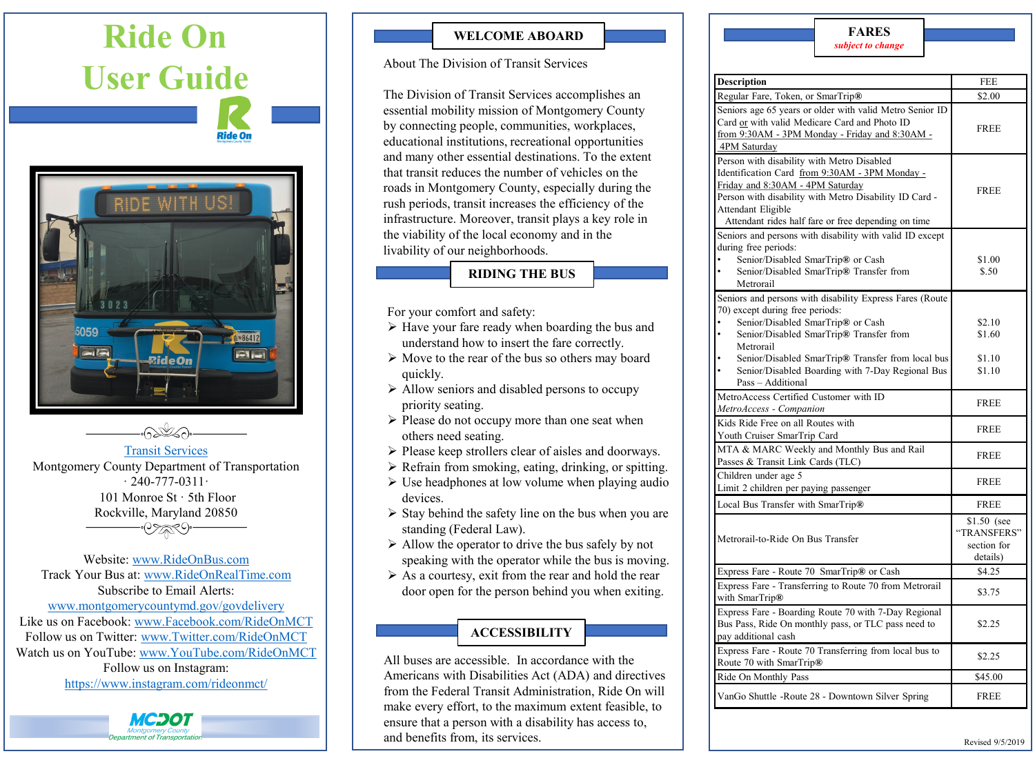# **Ride On User Guide Ride On** 86412 **Plie**



#### [Transit Services](http://www.montgomerycountymd.gov/dot-transit/index.html)

Montgomery County Department of Transportation  $\cdot$  240-777-0311 $\cdot$ 101 Monroe St · 5th Floor Rockville, Maryland 20850 -07 **20** 

Website: www.RideOnBus.com Track Your Bus at: www.RideOnRealTime.com Subscribe to Email Alerts: [www.montgomerycountymd.gov/govdelivery](www.montgomerycountymd.gov%5Cgovdelivery) Like us on Facebook: [www.Facebook.com/RideOnMCT](www.Facebook.com%5CRideOnMCT) Follow us on Twitter: [www.Twitter.com/RideOnMCT](www.Twitter.com%5CRideOnMCT) Watch us on YouTube: [www.YouTube.com/RideOnMCT](http://www.youtube.com/RideOnMCT) Follow us on Instagram: <https://www.instagram.com/rideonmct/>

МСЭОТ

**WELCOME ABOARD**

#### About The Division of Transit Services

The Division of Transit Services accomplishes an essential mobility mission of Montgomery County by connecting people, communities, workplaces, educational institutions, recreational opportunities and many other essential destinations. To the extent that transit reduces the number of vehicles on the roads in Montgomery County, especially during the rush periods, transit increases the efficiency of the infrastructure. Moreover, transit plays a key role in the viability of the local economy and in the livability of our neighborhoods.

#### **RIDING THE BUS**

For your comfort and safety:

- $\triangleright$  Have your fare ready when boarding the bus and understand how to insert the fare correctly.
- $\triangleright$  Move to the rear of the bus so others may board quickly.
- $\triangleright$  Allow seniors and disabled persons to occupy priority seating.
- $\triangleright$  Please do not occupy more than one seat when others need seating.
- $\triangleright$  Please keep strollers clear of aisles and doorways.
- $\triangleright$  Refrain from smoking, eating, drinking, or spitting.
- $\triangleright$  Use headphones at low volume when playing audio devices.
- $\triangleright$  Stay behind the safety line on the bus when you are standing (Federal Law).
- $\triangleright$  Allow the operator to drive the bus safely by not speaking with the operator while the bus is moving.
- $\triangleright$  As a courtesy, exit from the rear and hold the rear door open for the person behind you when exiting.

# **ACCESSIBILITY**

All buses are accessible. In accordance with the Americans with Disabilities Act (ADA) and directives from the Federal Transit Administration, Ride On will make every effort, to the maximum extent feasible, to ensure that a person with a disability has access to, and benefits from, its services.

# **FARES**

|  |  |  |  | subject to change |  |
|--|--|--|--|-------------------|--|
|--|--|--|--|-------------------|--|

| Description                                                                                                                                                                                                                                                                                                                         | FEE                                                   |
|-------------------------------------------------------------------------------------------------------------------------------------------------------------------------------------------------------------------------------------------------------------------------------------------------------------------------------------|-------------------------------------------------------|
| Regular Fare, Token, or SmarTrip®                                                                                                                                                                                                                                                                                                   | \$2.00                                                |
| Seniors age 65 years or older with valid Metro Senior ID<br>Card or with valid Medicare Card and Photo ID<br>from 9:30AM - 3PM Monday - Friday and 8:30AM -<br>4PM Saturday                                                                                                                                                         | <b>FREE</b>                                           |
| Person with disability with Metro Disabled<br>Identification Card from 9:30AM - 3PM Monday -<br>Friday and 8:30AM - 4PM Saturday<br>Person with disability with Metro Disability ID Card -<br>Attendant Eligible<br>Attendant rides half fare or free depending on time                                                             | <b>FREE</b>                                           |
| Seniors and persons with disability with valid ID except<br>during free periods:<br>Senior/Disabled SmarTrip® or Cash<br>Senior/Disabled SmarTrip® Transfer from<br>Metrorail                                                                                                                                                       | \$1.00<br>\$.50                                       |
| Seniors and persons with disability Express Fares (Route<br>70) except during free periods:<br>Senior/Disabled SmarTrip® or Cash<br>Senior/Disabled SmarTrip® Transfer from<br>$\bullet$<br>Metrorail<br>Senior/Disabled SmarTrip® Transfer from local bus<br>Senior/Disabled Boarding with 7-Day Regional Bus<br>Pass - Additional | \$2.10<br>\$1.60<br>\$1.10<br>\$1.10                  |
| MetroAccess Certified Customer with ID<br>MetroAccess - Companion                                                                                                                                                                                                                                                                   | <b>FREE</b>                                           |
| Kids Ride Free on all Routes with<br>Youth Cruiser SmarTrip Card                                                                                                                                                                                                                                                                    | <b>FREE</b>                                           |
| MTA & MARC Weekly and Monthly Bus and Rail<br>Passes & Transit Link Cards (TLC)                                                                                                                                                                                                                                                     | <b>FREE</b>                                           |
| Children under age 5<br>Limit 2 children per paying passenger                                                                                                                                                                                                                                                                       | <b>FREE</b>                                           |
| Local Bus Transfer with SmarTrip®                                                                                                                                                                                                                                                                                                   | <b>FREE</b>                                           |
| Metrorail-to-Ride On Bus Transfer                                                                                                                                                                                                                                                                                                   | \$1.50 (see<br>"TRANSFERS"<br>section for<br>details) |
| Express Fare - Route 70 SmarTrip® or Cash                                                                                                                                                                                                                                                                                           | \$4.25                                                |
| Express Fare - Transferring to Route 70 from Metrorail<br>with SmarTrip®                                                                                                                                                                                                                                                            | \$3.75                                                |
| Express Fare - Boarding Route 70 with 7-Day Regional<br>Bus Pass, Ride On monthly pass, or TLC pass need to<br>pay additional cash                                                                                                                                                                                                  | \$2.25                                                |
| Express Fare - Route 70 Transferring from local bus to<br>Route 70 with SmarTrip®                                                                                                                                                                                                                                                   | \$2.25                                                |
| Ride On Monthly Pass                                                                                                                                                                                                                                                                                                                | \$45.00                                               |
| VanGo Shuttle -Route 28 - Downtown Silver Spring                                                                                                                                                                                                                                                                                    | <b>FREE</b>                                           |